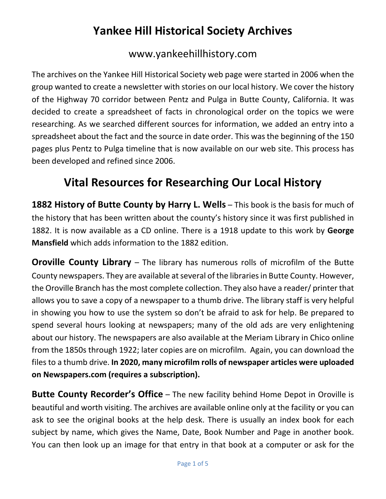# **Yankee Hill Historical Society Archives**

#### www.yankeehillhistory.com

The archives on the Yankee Hill Historical Society web page were started in 2006 when the group wanted to create a newsletter with stories on our local history. We cover the history of the Highway 70 corridor between Pentz and Pulga in Butte County, California. It was decided to create a spreadsheet of facts in chronological order on the topics we were researching. As we searched different sources for information, we added an entry into a spreadsheet about the fact and the source in date order. This was the beginning of the 150 pages plus Pentz to Pulga timeline that is now available on our web site. This process has been developed and refined since 2006.

#### **Vital Resources for Researching Our Local History**

**1882 History of Butte County by Harry L. Wells** – This book is the basis for much of the history that has been written about the county's history since it was first published in 1882. It is now available as a CD online. There is a 1918 update to this work by **George Mansfield** which adds information to the 1882 edition.

**Oroville County Library** – The library has numerous rolls of microfilm of the Butte County newspapers. They are available at several of the libraries in Butte County. However, the Oroville Branch has the most complete collection. They also have a reader/ printer that allows you to save a copy of a newspaper to a thumb drive. The library staff is very helpful in showing you how to use the system so don't be afraid to ask for help. Be prepared to spend several hours looking at newspapers; many of the old ads are very enlightening about our history. The newspapers are also available at the Meriam Library in Chico online from the 1850s through 1922; later copies are on microfilm. Again, you can download the files to a thumb drive. **In 2020, many microfilm rolls of newspaper articles were uploaded on Newspapers.com (requires a subscription).**

**Butte County Recorder's Office** – The new facility behind Home Depot in Oroville is beautiful and worth visiting. The archives are available online only at the facility or you can ask to see the original books at the help desk. There is usually an index book for each subject by name, which gives the Name, Date, Book Number and Page in another book. You can then look up an image for that entry in that book at a computer or ask for the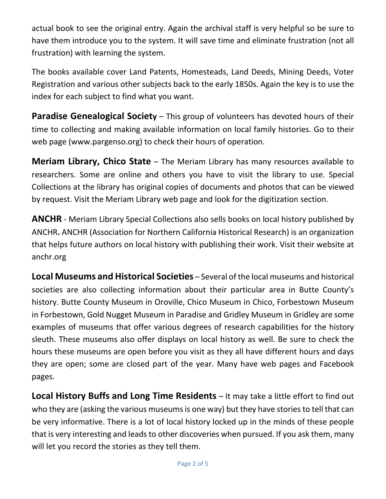actual book to see the original entry. Again the archival staff is very helpful so be sure to have them introduce you to the system. It will save time and eliminate frustration (not all frustration) with learning the system.

The books available cover Land Patents, Homesteads, Land Deeds, Mining Deeds, Voter Registration and various other subjects back to the early 1850s. Again the key is to use the index for each subject to find what you want.

**Paradise Genealogical Society** – This group of volunteers has devoted hours of their time to collecting and making available information on local family histories. Go to their web page (www.pargenso.org) to check their hours of operation.

**Meriam Library, Chico State** – The Meriam Library has many resources available to researchers. Some are online and others you have to visit the library to use. Special Collections at the library has original copies of documents and photos that can be viewed by request. Visit the Meriam Library web page and look for the digitization section.

**ANCHR** - Meriam Library Special Collections also sells books on local history published by ANCHR**.** ANCHR (Association for Northern California Historical Research) is an organization that helps future authors on local history with publishing their work. Visit their website at anchr.org

**Local Museums and Historical Societies** – Several of the local museums and historical societies are also collecting information about their particular area in Butte County's history. Butte County Museum in Oroville, Chico Museum in Chico, Forbestown Museum in Forbestown, Gold Nugget Museum in Paradise and Gridley Museum in Gridley are some examples of museums that offer various degrees of research capabilities for the history sleuth. These museums also offer displays on local history as well. Be sure to check the hours these museums are open before you visit as they all have different hours and days they are open; some are closed part of the year. Many have web pages and Facebook pages.

**Local History Buffs and Long Time Residents** – It may take a little effort to find out who they are (asking the various museums is one way) but they have stories to tell that can be very informative. There is a lot of local history locked up in the minds of these people that is very interesting and leads to other discoveries when pursued. If you ask them, many will let you record the stories as they tell them.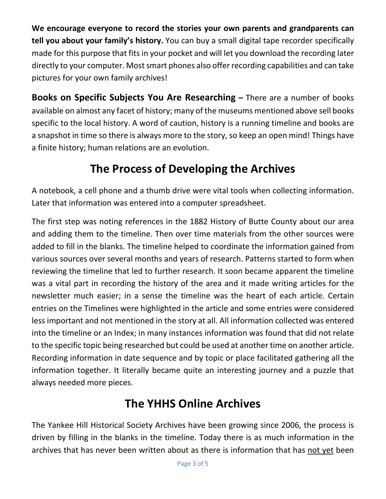**We encourage everyone to record the stories your own parents and grandparents can tell you about your family's history.** You can buy a small digital tape recorder specifically made for this purpose that fits in your pocket and will let you download the recording later directly to your computer. Most smart phones also offer recording capabilities and can take pictures for your own family archives!

**Books on Specific Subjects You Are Researching –** There are a number of books available on almost any facet of history; many of the museums mentioned above sell books specific to the local history. A word of caution, history is a running timeline and books are a snapshot in time so there is always more to the story, so keep an open mind! Things have a finite history; human relations are an evolution.

## **The Process of Developing the Archives**

A notebook, a cell phone and a thumb drive were vital tools when collecting information. Later that information was entered into a computer spreadsheet.

The first step was noting references in the 1882 History of Butte County about our area and adding them to the timeline. Then over time materials from the other sources were added to fill in the blanks. The timeline helped to coordinate the information gained from various sources over several months and years of research. Patterns started to form when reviewing the timeline that led to further research. It soon became apparent the timeline was a vital part in recording the history of the area and it made writing articles for the newsletter much easier; in a sense the timeline was the heart of each article. Certain entries on the Timelines were highlighted in the article and some entries were considered less important and not mentioned in the story at all. All information collected was entered into the timeline or an Index; in many instances information was found that did not relate to the specific topic being researched but could be used at another time on another article. Recording information in date sequence and by topic or place facilitated gathering all the information together. It literally became quite an interesting journey and a puzzle that always needed more pieces.

## **The YHHS Online Archives**

The Yankee Hill Historical Society Archives have been growing since 2006, the process is driven by filling in the blanks in the timeline. Today there is as much information in the archives that has never been written about as there is information that has not yet been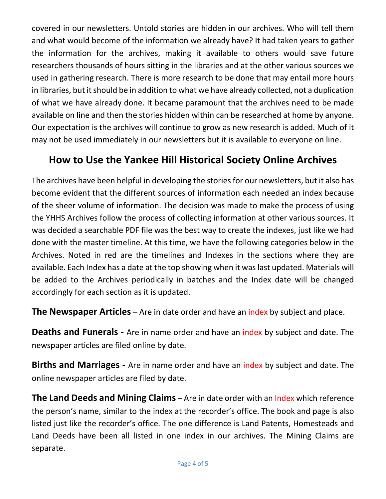covered in our newsletters. Untold stories are hidden in our archives. Who will tell them and what would become of the information we already have? It had taken years to gather the information for the archives, making it available to others would save future researchers thousands of hours sitting in the libraries and at the other various sources we used in gathering research. There is more research to be done that may entail more hours in libraries, but it should be in addition to what we have already collected, not a duplication of what we have already done. It became paramount that the archives need to be made available on line and then the stories hidden within can be researched at home by anyone. Our expectation is the archives will continue to grow as new research is added. Much of it may not be used immediately in our newsletters but it is available to everyone on line.

#### **How to Use the Yankee Hill Historical Society Online Archives**

The archives have been helpful in developing the stories for our newsletters, but it also has become evident that the different sources of information each needed an index because of the sheer volume of information. The decision was made to make the process of using the YHHS Archives follow the process of collecting information at other various sources. It was decided a searchable PDF file was the best way to create the indexes, just like we had done with the master timeline. At this time, we have the following categories below in the Archives. Noted in red are the timelines and Indexes in the sections where they are available. Each Index has a date at the top showing when it was last updated. Materials will be added to the Archives periodically in batches and the Index date will be changed accordingly for each section as it is updated.

**The Newspaper Articles** – Are in date order and have an index by subject and place.

**Deaths and Funerals -** Are in name order and have an index by subject and date. The newspaper articles are filed online by date.

**Births and Marriages -** Are in name order and have an index by subject and date. The online newspaper articles are filed by date.

**The Land Deeds and Mining Claims** – Are in date order with an Index which reference the person's name, similar to the index at the recorder's office. The book and page is also listed just like the recorder's office. The one difference is Land Patents, Homesteads and Land Deeds have been all listed in one index in our archives. The Mining Claims are separate.